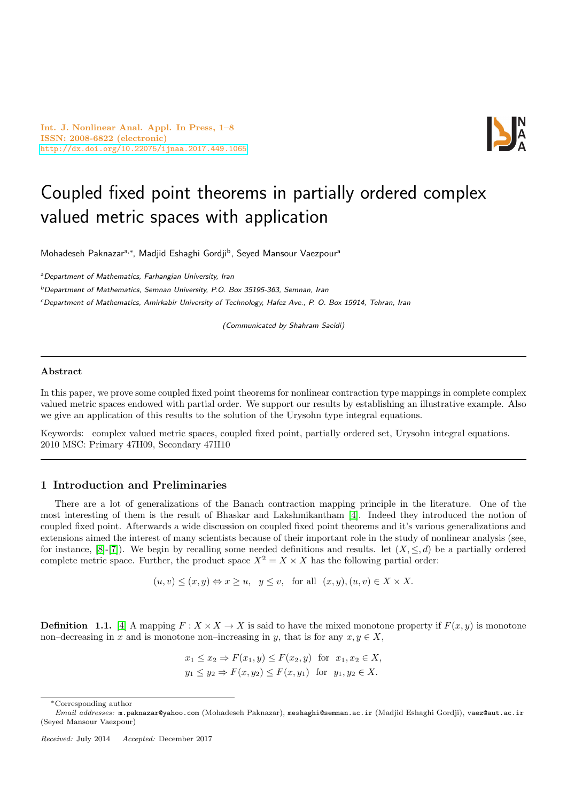Int. J. Nonlinear Anal. Appl. In Press, 1–8 ISSN: 2008-6822 (electronic) <http://dx.doi.org/10.22075/ijnaa.2017.449.1065>



# Coupled fixed point theorems in partially ordered complex valued metric spaces with application

Mohadeseh Paknazar<sup>a,\*</sup>, Madjid Eshaghi Gordji<sup>b</sup>, Seyed Mansour Vaezpour<sup>a</sup>

aDepartment of Mathematics, Farhangian University, Iran

 $b$ Department of Mathematics, Semnan University, P.O. Box 35195-363, Semnan, Iran

<sup>c</sup>Department of Mathematics, Amirkabir University of Technology, Hafez Ave., P. O. Box 15914, Tehran, Iran

(Communicated by Shahram Saeidi)

## Abstract

In this paper, we prove some coupled fixed point theorems for nonlinear contraction type mappings in complete complex valued metric spaces endowed with partial order. We support our results by establishing an illustrative example. Also we give an application of this results to the solution of the Urysohn type integral equations.

Keywords: complex valued metric spaces, coupled fixed point, partially ordered set, Urysohn integral equations. 2010 MSC: Primary 47H09, Secondary 47H10

## 1 Introduction and Preliminaries

There are a lot of generalizations of the Banach contraction mapping principle in the literature. One of the most interesting of them is the result of Bhaskar and Lakshmikantham [\[4\]](#page-7-0). Indeed they introduced the notion of coupled fixed point. Afterwards a wide discussion on coupled fixed point theorems and it's various generalizations and extensions aimed the interest of many scientists because of their important role in the study of nonlinear analysis (see, for instance,  $[8]-[7]$  $[8]-[7]$  $[8]-[7]$ . We begin by recalling some needed definitions and results. let  $(X, \leq, d)$  be a partially ordered complete metric space. Further, the product space  $X^2 = X \times X$  has the following partial order:

 $(u, v) \leq (x, y) \Leftrightarrow x \geq u, \quad y \leq v, \quad \text{for all} \quad (x, y), (u, v) \in X \times X.$ 

**Definition 1.1.** [\[4\]](#page-7-0) A mapping  $F: X \times X \to X$  is said to have the mixed monotone property if  $F(x, y)$  is monotone non–decreasing in x and is monotone non–increasing in y, that is for any  $x, y \in X$ ,

$$
x_1 \le x_2 \Rightarrow F(x_1, y) \le F(x_2, y) \text{ for } x_1, x_2 \in X,
$$
  

$$
y_1 \le y_2 \Rightarrow F(x, y_2) \le F(x, y_1) \text{ for } y_1, y_2 \in X.
$$

<sup>∗</sup>Corresponding author

Email addresses: m.paknazar@yahoo.com (Mohadeseh Paknazar), meshaghi@semnan.ac.ir (Madjid Eshaghi Gordji), vaez@aut.ac.ir (Seyed Mansour Vaezpour)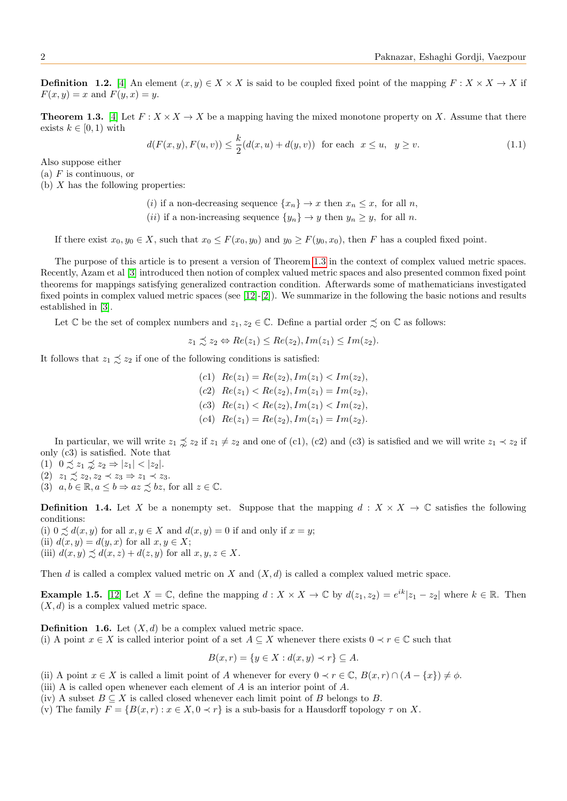**Definition 1.2.** [\[4\]](#page-7-0) An element  $(x, y) \in X \times X$  is said to be coupled fixed point of the mapping  $F: X \times X \to X$  if  $F(x, y) = x$  and  $F(y, x) = y$ .

<span id="page-1-0"></span>**Theorem 1.3.** [\[4\]](#page-7-0) Let  $F: X \times X \to X$  be a mapping having the mixed monotone property on X. Assume that there exists  $k \in [0, 1)$  with

$$
d(F(x, y), F(u, v)) \le \frac{k}{2}(d(x, u) + d(y, v)) \text{ for each } x \le u, y \ge v. \tag{1.1}
$$

Also suppose either

(a)  $F$  is continuous, or

(b)  $X$  has the following properties:

(i) if a non-decreasing sequence  $\{x_n\} \to x$  then  $x_n \leq x$ , for all n,

(*ii*) if a non-increasing sequence  $\{y_n\} \to y$  then  $y_n \geq y$ , for all *n*.

If there exist  $x_0, y_0 \in X$ , such that  $x_0 \leq F(x_0, y_0)$  and  $y_0 \geq F(y_0, x_0)$ , then F has a coupled fixed point.

The purpose of this article is to present a version of Theorem [1.3](#page-1-0) in the context of complex valued metric spaces. Recently, Azam et al [\[3\]](#page-7-3) introduced then notion of complex valued metric spaces and also presented common fixed point theorems for mappings satisfying generalized contraction condition. Afterwards some of mathematicians investigated fixed points in complex valued metric spaces (see [\[12\]](#page-7-4)-[\[2\]](#page-7-5)). We summarize in the following the basic notions and results established in [\[3\]](#page-7-3).

Let  $\mathbb C$  be the set of complex numbers and  $z_1, z_2 \in \mathbb C$ . Define a partial order  $\precsim$  on  $\mathbb C$  as follows:

$$
z_1 \precsim z_2 \Leftrightarrow Re(z_1) \le Re(z_2), Im(z_1) \le Im(z_2).
$$

It follows that  $z_1 \precsim z_2$  if one of the following conditions is satisfied:

(c1)  $Re(z_1) = Re(z_2), Im(z_1) < Im(z_2),$ (c2)  $Re(z_1) < Re(z_2), Im(z_1) = Im(z_2),$ (c3)  $Re(z_1) < Re(z_2), Im(z_1) < Im(z_2),$ (c4)  $Re(z_1) = Re(z_2), Im(z_1) = Im(z_2).$ 

In particular, we will write  $z_1 \precsim z_2$  if  $z_1 \neq z_2$  and one of (c1), (c2) and (c3) is satisfied and we will write  $z_1 \prec z_2$  if only (c3) is satisfied. Note that

(1)  $0 \precsim z_1 \precsim z_2 \Rightarrow |z_1| < |z_2|$ .

- (2)  $z_1 \precsim z_2, z_2 \prec z_3 \Rightarrow z_1 \prec z_3.$
- (3)  $a, b \in \mathbb{R}, a \leq b \Rightarrow az \preceq bz$ , for all  $z \in \mathbb{C}$ .

**Definition 1.4.** Let X be a nonempty set. Suppose that the mapping  $d : X \times X \to \mathbb{C}$  satisfies the following conditions:

(i)  $0 \preceq d(x, y)$  for all  $x, y \in X$  and  $d(x, y) = 0$  if and only if  $x = y$ ; (ii)  $d(x, y) = d(y, x)$  for all  $x, y \in X$ ; (iii)  $d(x, y) \preceq d(x, z) + d(z, y)$  for all  $x, y, z \in X$ .

Then d is called a complex valued metric on X and  $(X, d)$  is called a complex valued metric space.

**Example 1.5.** [\[12\]](#page-7-4) Let  $X = \mathbb{C}$ , define the mapping  $d: X \times X \to \mathbb{C}$  by  $d(z_1, z_2) = e^{ik}|z_1 - z_2|$  where  $k \in \mathbb{R}$ . Then  $(X, d)$  is a complex valued metric space.

**Definition 1.6.** Let  $(X, d)$  be a complex valued metric space. (i) A point  $x \in X$  is called interior point of a set  $A \subseteq X$  whenever there exists  $0 \prec r \in \mathbb{C}$  such that

$$
B(x,r) = \{ y \in X : d(x,y) \prec r \} \subseteq A.
$$

- (ii) A point  $x \in X$  is called a limit point of A whenever for every  $0 \prec r \in \mathbb{C}$ ,  $B(x,r) \cap (A \{x\}) \neq \emptyset$ .
- (iii) A is called open whenever each element of A is an interior point of A.
- (iv) A subset  $B \subseteq X$  is called closed whenever each limit point of B belongs to B.
- (v) The family  $F = \{B(x, r) : x \in X, 0 \prec r\}$  is a sub-basis for a Hausdorff topology  $\tau$  on X.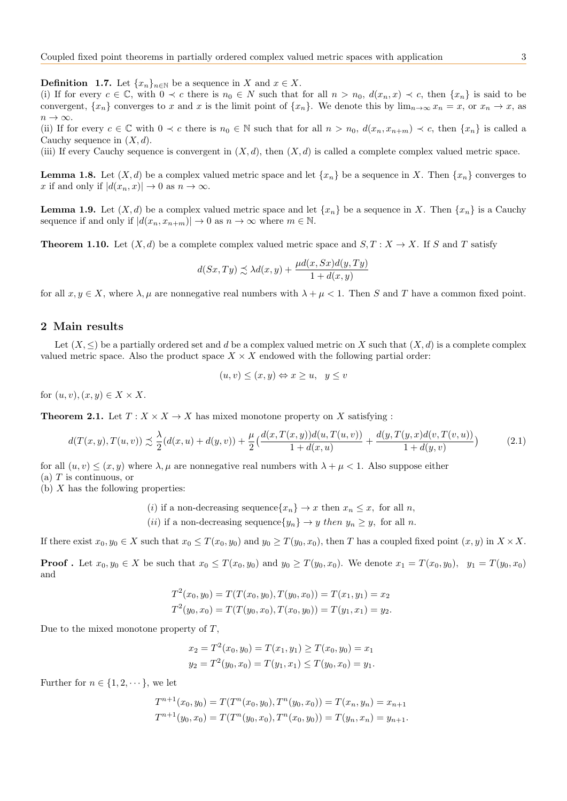**Definition 1.7.** Let  $\{x_n\}_{n\in\mathbb{N}}$  be a sequence in X and  $x \in X$ .

(i) If for every  $c \in \mathbb{C}$ , with  $0 \prec c$  there is  $n_0 \in N$  such that for all  $n > n_0$ ,  $d(x_n, x) \prec c$ , then  $\{x_n\}$  is said to be convergent,  $\{x_n\}$  converges to x and x is the limit point of  $\{x_n\}$ . We denote this by  $\lim_{n\to\infty} x_n = x$ , or  $x_n \to x$ , as  $n \to \infty$ .

(ii) If for every  $c \in \mathbb{C}$  with  $0 \prec c$  there is  $n_0 \in \mathbb{N}$  such that for all  $n > n_0$ ,  $d(x_n, x_{n+m}) \prec c$ , then  $\{x_n\}$  is called a Cauchy sequence in  $(X, d)$ .

(iii) If every Cauchy sequence is convergent in  $(X, d)$ , then  $(X, d)$  is called a complete complex valued metric space.

**Lemma 1.8.** Let  $(X, d)$  be a complex valued metric space and let  $\{x_n\}$  be a sequence in X. Then  $\{x_n\}$  converges to x if and only if  $|d(x_n, x)| \to 0$  as  $n \to \infty$ .

**Lemma 1.9.** Let  $(X, d)$  be a complex valued metric space and let  $\{x_n\}$  be a sequence in X. Then  $\{x_n\}$  is a Cauchy sequence if and only if  $|d(x_n, x_{n+m})| \to 0$  as  $n \to \infty$  where  $m \in \mathbb{N}$ .

**Theorem 1.10.** Let  $(X, d)$  be a complete complex valued metric space and  $S, T : X \to X$ . If S and T satisfy

$$
d(Sx,Ty) \precsim \lambda d(x,y) + \frac{\mu d(x,Sx)d(y,Ty)}{1+d(x,y)}
$$

for all  $x, y \in X$ , where  $\lambda, \mu$  are nonnegative real numbers with  $\lambda + \mu < 1$ . Then S and T have a common fixed point.

## 2 Main results

Let  $(X, \leq)$  be a partially ordered set and d be a complex valued metric on X such that  $(X, d)$  is a complete complex valued metric space. Also the product space  $X \times X$  endowed with the following partial order:

<span id="page-2-1"></span>
$$
(u, v) \le (x, y) \Leftrightarrow x \ge u, \ \ y \le v
$$

for  $(u, v), (x, y) \in X \times X$ .

**Theorem 2.1.** Let  $T: X \times X \rightarrow X$  has mixed monotone property on X satisfying:

<span id="page-2-0"></span>
$$
d(T(x,y),T(u,v)) \precsim \frac{\lambda}{2}(d(x,u) + d(y,v)) + \frac{\mu}{2}\left(\frac{d(x,T(x,y))d(u,T(u,v))}{1+d(x,u)} + \frac{d(y,T(y,x)d(v,T(v,u))}{1+d(y,v)}\right) \tag{2.1}
$$

for all  $(u, v) \leq (x, y)$  where  $\lambda, \mu$  are nonnegative real numbers with  $\lambda + \mu \leq 1$ . Also suppose either (a)  $T$  is continuous, or

(b)  $X$  has the following properties:

(i) if a non-decreasing sequence 
$$
\{x_n\} \to x
$$
 then  $x_n \leq x$ , for all n,

(*ii*) if a non-decreasing sequence $\{y_n\} \to y$  then  $y_n \geq y$ , for all n.

If there exist  $x_0, y_0 \in X$  such that  $x_0 \leq T(x_0, y_0)$  and  $y_0 \geq T(y_0, x_0)$ , then T has a coupled fixed point  $(x, y)$  in  $X \times X$ .

**Proof**. Let  $x_0, y_0 \in X$  be such that  $x_0 \leq T(x_0, y_0)$  and  $y_0 \geq T(y_0, x_0)$ . We denote  $x_1 = T(x_0, y_0)$ ,  $y_1 = T(y_0, x_0)$ and

$$
T^{2}(x_{0}, y_{0}) = T(T(x_{0}, y_{0}), T(y_{0}, x_{0})) = T(x_{1}, y_{1}) = x_{2}
$$
  

$$
T^{2}(y_{0}, x_{0}) = T(T(y_{0}, x_{0}), T(x_{0}, y_{0})) = T(y_{1}, x_{1}) = y_{2}.
$$

Due to the mixed monotone property of  $T$ ,

$$
x_2 = T^2(x_0, y_0) = T(x_1, y_1) \ge T(x_0, y_0) = x_1
$$
  

$$
y_2 = T^2(y_0, x_0) = T(y_1, x_1) \le T(y_0, x_0) = y_1.
$$

Further for  $n \in \{1, 2, \dots\}$ , we let

$$
T^{n+1}(x_0, y_0) = T(T^n(x_0, y_0), T^n(y_0, x_0)) = T(x_n, y_n) = x_{n+1}
$$
  

$$
T^{n+1}(y_0, x_0) = T(T^n(y_0, x_0), T^n(x_0, y_0)) = T(y_n, x_n) = y_{n+1}.
$$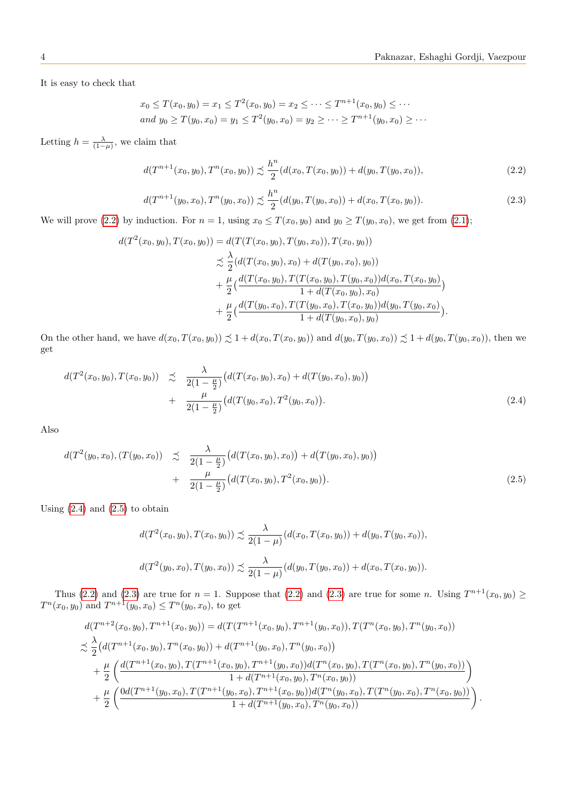It is easy to check that

$$
x_0 \le T(x_0, y_0) = x_1 \le T^2(x_0, y_0) = x_2 \le \dots \le T^{n+1}(x_0, y_0) \le \dots
$$
  
and  $y_0 \ge T(y_0, x_0) = y_1 \le T^2(y_0, x_0) = y_2 \ge \dots \ge T^{n+1}(y_0, x_0) \ge \dots$ 

Letting  $h = \frac{\lambda}{(1-\mu)}$ , we claim that

<span id="page-3-0"></span>
$$
d(T^{n+1}(x_0, y_0), T^n(x_0, y_0)) \precsim \frac{h^n}{2} (d(x_0, T(x_0, y_0)) + d(y_0, T(y_0, x_0)),
$$
\n(2.2)

<span id="page-3-3"></span>
$$
d(T^{n+1}(y_0, x_0), T^n(y_0, x_0)) \precsim \frac{h^n}{2} (d(y_0, T(y_0, x_0)) + d(x_0, T(x_0, y_0)).
$$
\n(2.3)

We will prove [\(2.2\)](#page-3-0) by induction. For  $n = 1$ , using  $x_0 \leq T(x_0, y_0)$  and  $y_0 \geq T(y_0, x_0)$ , we get from [\(2.1\)](#page-2-0);

$$
d(T^{2}(x_{0}, y_{0}), T(x_{0}, y_{0})) = d(T(T(x_{0}, y_{0}), T(y_{0}, x_{0})), T(x_{0}, y_{0}))
$$
  
\n
$$
\precsim \frac{\lambda}{2} (d(T(x_{0}, y_{0}), x_{0}) + d(T(y_{0}, x_{0}), y_{0}))
$$
  
\n
$$
+ \frac{\mu}{2} \Big( \frac{d(T(x_{0}, y_{0}), T(T(x_{0}, y_{0}), T(y_{0}, x_{0}))d(x_{0}, T(x_{0}, y_{0}))}{1 + d(T(x_{0}, y_{0}), x_{0})} + \frac{\mu}{2} \Big( \frac{d(T(y_{0}, x_{0}), T(T(y_{0}, x_{0}), T(x_{0}, y_{0}))d(y_{0}, T(y_{0}, x_{0}))}{1 + d(T(y_{0}, x_{0}), y_{0})} \Big).
$$

On the other hand, we have  $d(x_0, T(x_0, y_0)) \precsim 1 + d(x_0, T(x_0, y_0))$  and  $d(y_0, T(y_0, x_0)) \precsim 1 + d(y_0, T(y_0, x_0))$ , then we get

<span id="page-3-1"></span>
$$
d(T^{2}(x_{0}, y_{0}), T(x_{0}, y_{0})) \precsim \frac{\lambda}{2(1-\frac{\mu}{2})} \big(d(T(x_{0}, y_{0}), x_{0}) + d(T(y_{0}, x_{0}), y_{0})\big) + \frac{\mu}{2(1-\frac{\mu}{2})} \big(d(T(y_{0}, x_{0}), T^{2}(y_{0}, x_{0}))\big).
$$
\n(2.4)

Also

<span id="page-3-2"></span>
$$
d(T^{2}(y_{0}, x_{0}), (T(y_{0}, x_{0})) \preceq \frac{\lambda}{2(1 - \frac{\mu}{2})} \big(d(T(x_{0}, y_{0}), x_{0})\big) + d(T(y_{0}, x_{0}), y_{0})\big) + \frac{\mu}{2(1 - \frac{\mu}{2})} \big(d(T(x_{0}, y_{0}), T^{2}(x_{0}, y_{0}))\big).
$$
\n(2.5)

Using  $(2.4)$  and  $(2.5)$  to obtain

$$
d(T^2(x_0, y_0), T(x_0, y_0)) \precsim \frac{\lambda}{2(1-\mu)} (d(x_0, T(x_0, y_0)) + d(y_0, T(y_0, x_0)),
$$
  

$$
d(T^2(y_0, x_0), T(y_0, x_0)) \precsim \frac{\lambda}{2(1-\mu)} (d(y_0, T(y_0, x_0)) + d(x_0, T(x_0, y_0)).
$$

Thus [\(2.2\)](#page-3-0) and [\(2.3\)](#page-3-3) are true for  $n = 1$ . Suppose that (2.2) and (2.3) are true for some n. Using  $T^{n+1}(x_0, y_0) \ge$  $T^n(x_0, y_0)$  and  $T^{n+1}(y_0, x_0) \le T^n(y_0, x_0)$ , to get

$$
d(T^{n+2}(x_0, y_0), T^{n+1}(x_0, y_0)) = d(T(T^{n+1}(x_0, y_0), T^{n+1}(y_0, x_0)), T(T^{n}(x_0, y_0), T^{n}(y_0, x_0))
$$
  
\n
$$
\precsim \frac{\lambda}{2} (d(T^{n+1}(x_0, y_0), T^{n}(x_0, y_0)) + d(T^{n+1}(y_0, x_0), T^{n}(y_0, x_0))
$$
  
\n
$$
+ \frac{\mu}{2} \left( \frac{d(T^{n+1}(x_0, y_0), T(T^{n+1}(x_0, y_0), T^{n+1}(y_0, x_0)) d(T^{n}(x_0, y_0), T(T^{n}(x_0, y_0), T^{n}(y_0, x_0))}{1 + d(T^{n+1}(x_0, y_0), T^{n}(x_0, y_0))} \right)
$$
  
\n
$$
+ \frac{\mu}{2} \left( \frac{0d(T^{n+1}(y_0, x_0), T(T^{n+1}(y_0, x_0), T^{n+1}(x_0, y_0)) d(T^{n}(y_0, x_0), T(T^{n}(y_0, x_0), T^{n}(x_0, y_0))}{1 + d(T^{n+1}(y_0, x_0), T^{n}(y_0, x_0))} \right).
$$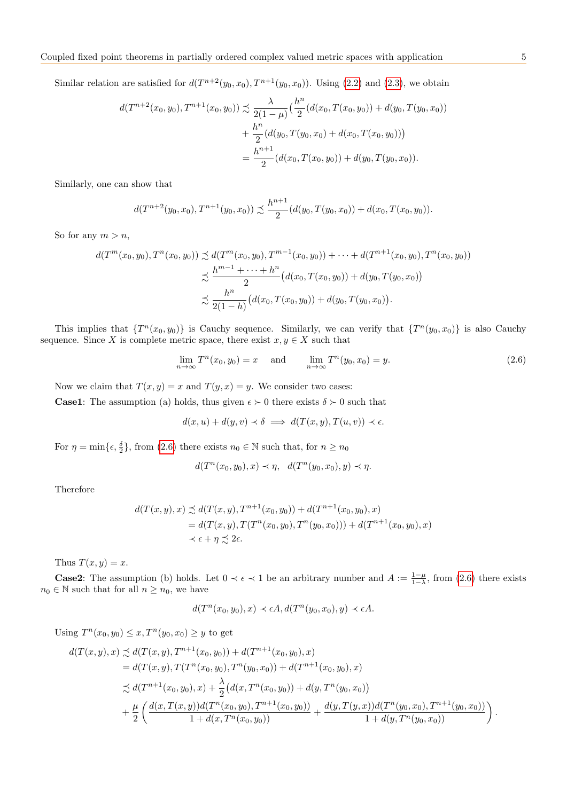Similar relation are satisfied for  $d(T^{n+2}(y_0, x_0), T^{n+1}(y_0, x_0))$ . Using [\(2.2\)](#page-3-0) and [\(2.3\)](#page-3-3), we obtain

$$
d(T^{n+2}(x_0, y_0), T^{n+1}(x_0, y_0)) \precsim \frac{\lambda}{2(1-\mu)} \left(\frac{h^n}{2}(d(x_0, T(x_0, y_0)) + d(y_0, T(y_0, x_0))\right)
$$
  
+ 
$$
\frac{h^n}{2}(d(y_0, T(y_0, x_0) + d(x_0, T(x_0, y_0)))
$$
  
= 
$$
\frac{h^{n+1}}{2}(d(x_0, T(x_0, y_0)) + d(y_0, T(y_0, x_0)).
$$

Similarly, one can show that

$$
d(T^{n+2}(y_0, x_0), T^{n+1}(y_0, x_0)) \precsim \frac{h^{n+1}}{2} (d(y_0, T(y_0, x_0)) + d(x_0, T(x_0, y_0)).
$$

So for any  $m > n$ ,

$$
d(T^{m}(x_0, y_0), T^{n}(x_0, y_0)) \precsim d(T^{m}(x_0, y_0), T^{m-1}(x_0, y_0)) + \cdots + d(T^{n+1}(x_0, y_0), T^{n}(x_0, y_0))
$$
  

$$
\precsim \frac{h^{m-1} + \cdots + h^{n}}{2} (d(x_0, T(x_0, y_0)) + d(y_0, T(y_0, x_0))
$$
  

$$
\precsim \frac{h^{n}}{2(1-h)} (d(x_0, T(x_0, y_0)) + d(y_0, T(y_0, x_0)).
$$

This implies that  $\{T^n(x_0, y_0)\}$  is Cauchy sequence. Similarly, we can verify that  $\{T^n(y_0, x_0)\}$  is also Cauchy sequence. Since X is complete metric space, there exist  $x, y \in X$  such that

<span id="page-4-0"></span>
$$
\lim_{n \to \infty} T^n(x_0, y_0) = x \quad \text{and} \quad \lim_{n \to \infty} T^n(y_0, x_0) = y. \tag{2.6}
$$

Now we claim that  $T(x, y) = x$  and  $T(y, x) = y$ . We consider two cases:

**Case1:** The assumption (a) holds, thus given  $\epsilon > 0$  there exists  $\delta > 0$  such that

$$
d(x, u) + d(y, v) \prec \delta \implies d(T(x, y), T(u, v)) \prec \epsilon.
$$

For  $\eta = \min\{\epsilon, \frac{\delta}{2}\}\$ , from [\(2.6\)](#page-4-0) there exists  $n_0 \in \mathbb{N}$  such that, for  $n \ge n_0$ 

$$
d(T^n(x_0, y_0), x) \prec \eta, \quad d(T^n(y_0, x_0), y) \prec \eta.
$$

Therefore

$$
d(T(x, y), x) \precsim d(T(x, y), T^{n+1}(x_0, y_0)) + d(T^{n+1}(x_0, y_0), x)
$$
  
=  $d(T(x, y), T(T^n(x_0, y_0), T^n(y_0, x_0))) + d(T^{n+1}(x_0, y_0), x)$   
 $\prec \epsilon + \eta \precsim 2\epsilon.$ 

Thus  $T(x, y) = x$ .

**Case2:** The assumption (b) holds. Let  $0 \lt \epsilon \lt 1$  be an arbitrary number and  $A := \frac{1-\mu}{1-\lambda}$ , from [\(2.6\)](#page-4-0) there exists  $n_0\in\mathbb{N}$  such that for all  $n\geq n_0,$  we have

$$
d(T^n(x_0, y_0), x) \prec \epsilon A, d(T^n(y_0, x_0), y) \prec \epsilon A.
$$

Using 
$$
T^n(x_0, y_0) \le x
$$
,  $T^n(y_0, x_0) \ge y$  to get  
\n
$$
d(T(x, y), x) \precsim d(T(x, y), T^{n+1}(x_0, y_0)) + d(T^{n+1}(x_0, y_0), x)
$$
\n
$$
= d(T(x, y), T(T^n(x_0, y_0), T^n(y_0, x_0)) + d(T^{n+1}(x_0, y_0), x)
$$
\n
$$
\precsim d(T^{n+1}(x_0, y_0), x) + \frac{\lambda}{2} (d(x, T^n(x_0, y_0)) + d(y, T^n(y_0, x_0)) + d(y, T^n(y_0, x_0), T^{n+1}(y_0, x_0)) + \frac{\mu}{2} \left( \frac{d(x, T(x, y)) d(T^n(x_0, y_0), T^{n+1}(x_0, y_0))}{1 + d(x, T^n(x_0, y_0))} + \frac{d(y, T(y, x)) d(T^n(y_0, x_0), T^{n+1}(y_0, x_0))}{1 + d(y, T^n(y_0, x_0))} \right).
$$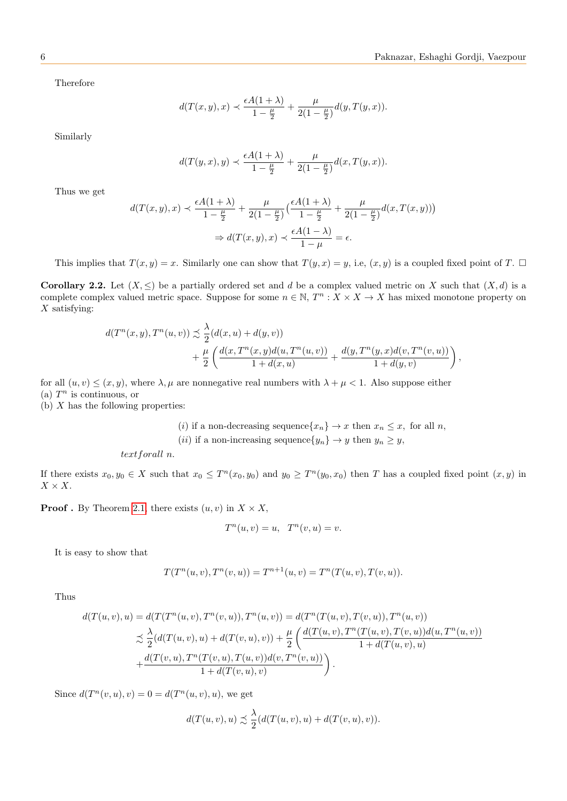Therefore

$$
d(T(x, y), x) \prec \frac{\epsilon A(1 + \lambda)}{1 - \frac{\mu}{2}} + \frac{\mu}{2(1 - \frac{\mu}{2})} d(y, T(y, x)).
$$

Similarly

$$
d(T(y,x),y) \prec \frac{\epsilon A(1+\lambda)}{1-\frac{\mu}{2}} + \frac{\mu}{2(1-\frac{\mu}{2})}d(x,T(y,x)).
$$

Thus we get

$$
d(T(x,y),x) \prec \frac{\epsilon A(1+\lambda)}{1-\frac{\mu}{2}} + \frac{\mu}{2(1-\frac{\mu}{2})} \left( \frac{\epsilon A(1+\lambda)}{1-\frac{\mu}{2}} + \frac{\mu}{2(1-\frac{\mu}{2})} d(x,T(x,y)) \right)
$$

$$
\Rightarrow d(T(x,y),x) \prec \frac{\epsilon A(1-\lambda)}{1-\mu} = \epsilon.
$$

This implies that  $T(x, y) = x$ . Similarly one can show that  $T(y, x) = y$ , i.e,  $(x, y)$  is a coupled fixed point of T.  $\Box$ 

Corollary 2.2. Let  $(X, \leq)$  be a partially ordered set and d be a complex valued metric on X such that  $(X, d)$  is a complete complex valued metric space. Suppose for some  $n \in \mathbb{N}$ ,  $T^n : X \times X \to X$  has mixed monotone property on  $X$  satisfying:

$$
d(T^{n}(x, y), T^{n}(u, v)) \precsim \frac{\lambda}{2} (d(x, u) + d(y, v)) + \frac{\mu}{2} \left( \frac{d(x, T^{n}(x, y) d(u, T^{n}(u, v))}{1 + d(x, u)} + \frac{d(y, T^{n}(y, x) d(v, T^{n}(v, u)))}{1 + d(y, v)} \right),
$$

for all  $(u, v) \leq (x, y)$ , where  $\lambda, \mu$  are nonnegative real numbers with  $\lambda + \mu < 1$ . Also suppose either (a)  $T^n$  is continuous, or

(b)  $X$  has the following properties:

(i) if a non-decreasing sequence  $\{x_n\} \to x$  then  $x_n \leq x$ , for all n, (*ii*) if a non-increasing sequence $\{y_n\} \to y$  then  $y_n \geq y$ ,

```
textforall n.
```
If there exists  $x_0, y_0 \in X$  such that  $x_0 \leq T^n(x_0, y_0)$  and  $y_0 \geq T^n(y_0, x_0)$  then T has a coupled fixed point  $(x, y)$  in  $X \times X$ .

**Proof**. By Theorem [2.1,](#page-2-1) there exists  $(u, v)$  in  $X \times X$ ,

$$
T^n(u, v) = u, \quad T^n(v, u) = v.
$$

It is easy to show that

$$
T(T^{n}(u, v), T^{n}(v, u)) = T^{n+1}(u, v) = T^{n}(T(u, v), T(v, u)).
$$

Thus

$$
d(T(u, v), u) = d(T(T^n(u, v), T^n(v, u)), T^n(u, v)) = d(T^n(T(u, v), T(v, u)), T^n(u, v))
$$
  

$$
\precsim \frac{\lambda}{2} (d(T(u, v), u) + d(T(v, u), v)) + \frac{\mu}{2} \left( \frac{d(T(u, v), T^n(T(u, v), T(v, u))d(u, T^n(u, v))}{1 + d(T(u, v), u)} + \frac{d(T(v, u), T^n(T(v, u), T(u, v))d(v, T^n(v, u))}{1 + d(T(v, u), v)} \right).
$$

Since  $d(T^{n}(v, u), v) = 0 = d(T^{n}(u, v), u)$ , we get

$$
d(T(u, v), u) \precsim \frac{\lambda}{2} (d(T(u, v), u) + d(T(v, u), v)).
$$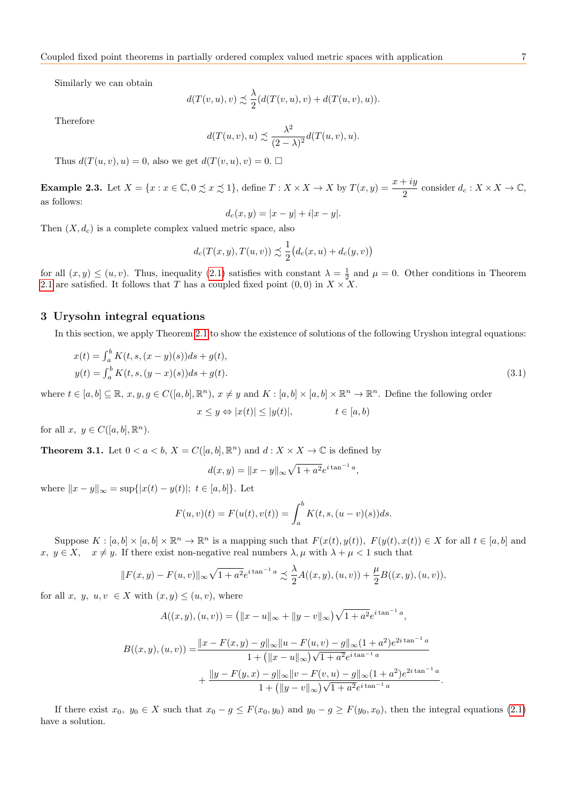Similarly we can obtain

$$
d(T(v, u), v) \precsim \frac{\lambda}{2} (d(T(v, u), v) + d(T(u, v), u)).
$$

Therefore

$$
d(T(u,v),u) \precsim \frac{\lambda^2}{(2-\lambda)^2} d(T(u,v),u).
$$

Thus  $d(T(u, v), u) = 0$ , also we get  $d(T(v, u), v) = 0$ .

**Example 2.3.** Let  $X = \{x : x \in \mathbb{C}, 0 \precsim x \precsim 1\}$ , define  $T : X \times X \to X$  by  $T(x, y) = \frac{x + iy}{2}$  consider  $d_c : X \times X \to \mathbb{C}$ , as follows:

$$
d_c(x, y) = |x - y| + i|x - y|.
$$

Then  $(X, d_c)$  is a complete complex valued metric space, also

$$
d_c(T(x,y),T(u,v)) \precsim \frac{1}{2} (d_c(x,u) + d_c(y,v))
$$

for all  $(x, y) \leq (u, v)$ . Thus, inequality [\(2.1\)](#page-2-0) satisfies with constant  $\lambda = \frac{1}{2}$  and  $\mu = 0$ . Other conditions in Theorem [2.1](#page-2-1) are satisfied. It follows that T has a coupled fixed point  $(0,0)$  in  $X \times X$ .

### 3 Urysohn integral equations

In this section, we apply Theorem [2.1](#page-2-1) to show the existence of solutions of the following Uryshon integral equations:

<span id="page-6-0"></span>
$$
x(t) = \int_{a}^{b} K(t, s, (x - y)(s))ds + g(t),
$$
  
\n
$$
y(t) = \int_{a}^{b} K(t, s, (y - x)(s))ds + g(t).
$$
\n(3.1)

where  $t \in [a, b] \subseteq \mathbb{R}, x, y, g \in C([a, b], \mathbb{R}^n), x \neq y$  and  $K : [a, b] \times [a, b] \times \mathbb{R}^n \to \mathbb{R}^n$ . Define the following order

$$
x \le y \Leftrightarrow |x(t)| \le |y(t)|, \qquad t \in [a, b)
$$

for all  $x, y \in C([a, b], \mathbb{R}^n)$ .

**Theorem 3.1.** Let  $0 < a < b$ ,  $X = C([a, b], \mathbb{R}^n)$  and  $d : X \times X \to \mathbb{C}$  is defined by

$$
d(x, y) = ||x - y||_{\infty} \sqrt{1 + a^2} e^{i \tan^{-1} a},
$$

where  $||x - y||_{\infty} = \sup\{|x(t) - y(t)|; t \in [a, b]\}.$  Let

$$
F(u, v)(t) = F(u(t), v(t)) = \int_a^b K(t, s, (u - v)(s))ds.
$$

Suppose  $K : [a, b] \times [a, b] \times \mathbb{R}^n \to \mathbb{R}^n$  is a mapping such that  $F(x(t), y(t)), F(y(t), x(t)) \in X$  for all  $t \in [a, b]$  and  $x, y \in X$ ,  $x \neq y$ . If there exist non-negative real numbers  $\lambda, \mu$  with  $\lambda + \mu < 1$  such that

$$
||F(x,y) - F(u,v)||_{\infty} \sqrt{1 + a^2} e^{i \tan^{-1} a} \precsim \frac{\lambda}{2} A((x,y),(u,v)) + \frac{\mu}{2} B((x,y),(u,v)),
$$

for all x, y, u, v  $\in X$  with  $(x, y) \leq (u, v)$ , where

$$
A((x, y), (u, v)) = (||x - u||_{\infty} + ||y - v||_{\infty})\sqrt{1 + a^2}e^{i\tan^{-1}a},
$$

$$
B((x, y), (u, v)) = \frac{||x - F(x, y) - g||_{\infty}||u - F(u, v) - g||_{\infty}(1 + a^{2})e^{2i\tan^{-1}a}}{1 + (||x - u||_{\infty})\sqrt{1 + a^{2}}e^{i\tan^{-1}a}}
$$

$$
+ \frac{||y - F(y, x) - g||_{\infty}||v - F(v, u) - g||_{\infty}(1 + a^{2})e^{2i\tan^{-1}a}}{1 + (||y - v||_{\infty})\sqrt{1 + a^{2}}e^{i\tan^{-1}a}}
$$

.

If there exist  $x_0, y_0 \in X$  such that  $x_0 - g \leq F(x_0, y_0)$  and  $y_0 - g \geq F(y_0, x_0)$ , then the integral equations [\(2.1\)](#page-2-0) have a solution.